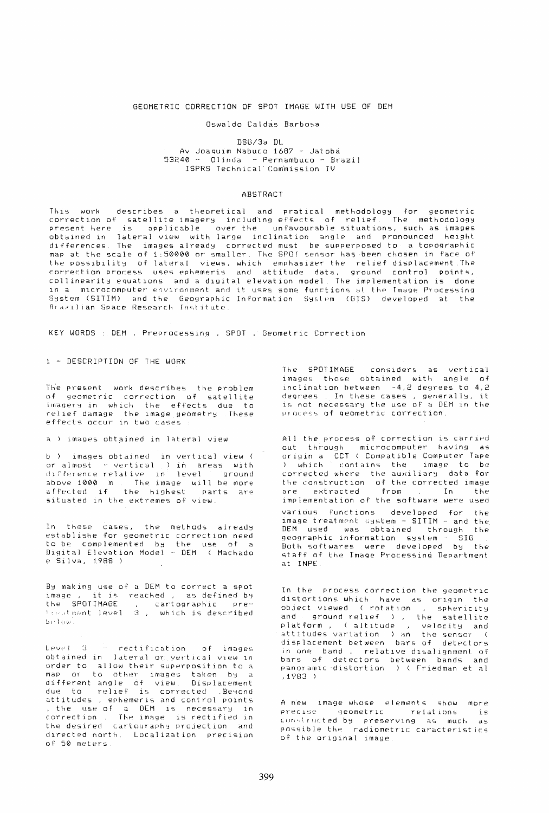### GEOMETRIC CORRECTION OF SPOT IMAGE WITH USE OF DEM

## Oswaldo Caldas Barbosa

### DSG/3a DL Av Joaquim Nabuco 1687 - Jatobá  $53240 - 01$ inda - Pernambuco - Brazil ISPRS Technical Commission IV

## ABSTRACT

This work describes a theoretical and pratical methodology for geometric<br>correction of satellite imagery including effects of relief. The methodology present here is applicable over the unfavourable situations, such as images obtained in lateral view with large inclination angle and pronounced height<br>differences. The images already corrected must be supperposed to a topographic<br>map at the scale of 1:50000 or smaller. The SPOT sensor has been ch the possibility of lateral views, which emphasizer the relief displacement. The correction process uses ephemeris and attitude data, ground control points, collinearity equations and a digital elevation model. The implementation is done in a microcomputer environment and it uses some functions at the Image Processing System (SITIM) and the Geographic Information System (GIS) developed at the<br>Brazilian Space Research Institute.

KEY WORDS : DEM , Preprocessing , SPOT , Geometric Correction

1 - DESCRIPTION OF THE WORK

The present work describes the problem of geometric correction of satellite<br>imagery in which the effects due to relief damage the image geometry These effects occur in two cases

a ) images obtained in lateral view

b ) images obtained in vertical view (<br>or almost - vertical ) in areas with difference relative in level around<br>above 1000 m. The image will be more<br>affected if the highest parts are situated in the extremes of view.

In these cases, the methods already<br>establishe for geometric correction need to be complemented by the use of a Digital Elevation Model - DEM ( Machado e Silva, 1988 )

By making use of a DEM to correct a spot image, it is reached, as defined by<br>the SPOTIMAGE, cartographic pre $be 1000$ .

Level 3 - rectification of images obtained in lateral or vertical view in order to allow their superposition to a map or to other images taken by a<br>different angle of view. Displacement<br>due to relief is corrected . Beyond<br>control points attitudes, ephemeris and control points<br>, the use of a DEM is necessary in<br>correction. The image is rectified in the desired cartography projection and directed north. Localization precision of 50 meters.

The SPOTIMAGE considers as vertical<br>images those obtained with angle of inclination between -4,2 degrees to 4,2 degrees . In these cases , generally, it is not necessary the use of a DEM in the process of geometric correction.

All the process of correction is carried out through microcomputer having as<br>origin a CCT (Compatible Computer Tape<br>) which contains the image to be corrected where the auxiliary data for the construction of the corrected image<br>are extracted from In the implementation of the software were used various functions developed for the image treatment system - SITIM - and the<br>DEM used was obtained through the geographic information system SIG<br>Both softwares were developed by the staff of the Image Processing Department at INPE

In the process correction the geometric distortions which have as origin the object viewed (rotation , sphericity and ground relief ), the satellite<br>platform, (altitude, velocity and<br>attitudes variation ) an the sensor (<br>displacement between bars of detectors in one band, relative disalignment of bars of detectors between bands and<br>panoramic distortion ) (Friedman et al  $,1983$ )

A new image whose elements show more precise geometric relations  $i s$ constructed by preserving as much as possible the radiometric caracteristics of the original image.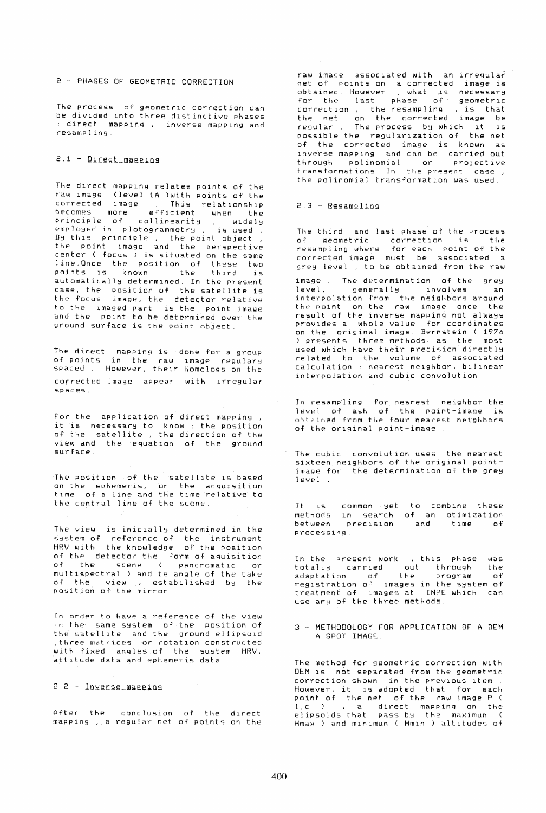2 - PHASES OF GEOMETRIC CORRECTION

The process of geometric correction can be divided into three distinctive phases : direct mapping , inverse mapping and resampling.

## $2.1 -$  Direct mapping

The direct mapping relates points of the<br>raw image (level 1A )with points of the<br>corrected image , This relationship raw image Clevel lA )with points of the corrected image , This relationship becomes more efficient when the principle of collinearity, widely employed in plotogrammetry, is used emproged in procegrammetig ; is used<br>By this principle , the point object the point image and the perspective center ( focus) is situated on the same line.Once the position of these two points is known the third is automatically determined. In the present case, the position of the satellite is lhe focus image, the detector relative to the imaged part is the point image and the point to be determined over the ground surface is the point object

The direct mapping is done for a group of points of points in the raw image regulary<br>spaced . However, their homologs on the corrected image appear with irregular spaces.

For the application of direct mapping. If it is necessary to know: the position<br>of the satellite, the direction of the view and the equation of the ground surface.

The position of the satellite is based on the ephemeris. on the acquisition time of a line and the time relative to the central line of the scene,

The view is inicially determined in the  $s$ ystem of reference of the instrument HRV with the knowledge of the position of the detector the form of aquisition of the scene ( pancromatic or multispectral ) and te angle of the take of the view , estabilished by the position of the mirror,

In order to have a reference of the view im the same system of the position of the satellite and the ground ellipsoid . three matrices or rotation constructed with fixed angles of the sustem HRV. attitude data and ephemeris data

## $2.2 - Inverse management$

After the conclusion of the direct mapping • a regular net of points on the raw image associated with an irregular net of points on a corrected image is<br>obtained However , what is necessary obtained. However , what is necessary for the last phase of geometric correction , the resampling , is that the net on the corrected image be regular. The process by which it is possible the regularization of the net of the corrected image is known as inverse mapping and can be carried out through polinomial or projective transformations. In the present case. the polinomial transformation was used.

# $2.3 - Resamelling$

The third and last phase of the process of geometric correction is the resampling where for each point of the corrected image must be associated a grey level , to be obtained from the raw

image . The determination of the grey<br>level, generally involves an level, generally involves an<br>interpolation from the neighbors around the point on the raw image once the result of the inverse mapping not always provides a whole value for coordinates on the original image. Bernstein ( 1976 ) presents three methods as the most used which have their precision directly related to the volume of associated calculation: nearest neighbor. bilinear interp01ation and cubic convolution.

In resampling for nearest neighbor the level of ash of the point-image is obtained from the four nearest neighbors of the original point-image

The cubic convolution uses the nearest sixteen neighbors of the original pointimage for the determination of the grey  $level~$ .

It is methods common get<br>in search between precision processing to combine these of an otimization and time of

In the present work , this phase was<br>totally carried out through the totally carried out through<br>adaptation of the program adaptation of the program of registration of images in the system of treatment of images at INPE which can use any of the three methods.

3 - METHODOLOGY FOR APPLICATION OF A DEM A SPOT IMAGE .

The method for geometric correction with DEM is not separated from the geometric correction shown in the previous item. correction shown in the previous item .<br>However, it is adopted that for each point of the net of the raw image P (<br>1,c ) , a direct mapping on the<br>elipsoids that pass by the maximun ( Hmax ) and minimun ( Hmin ) altitudes of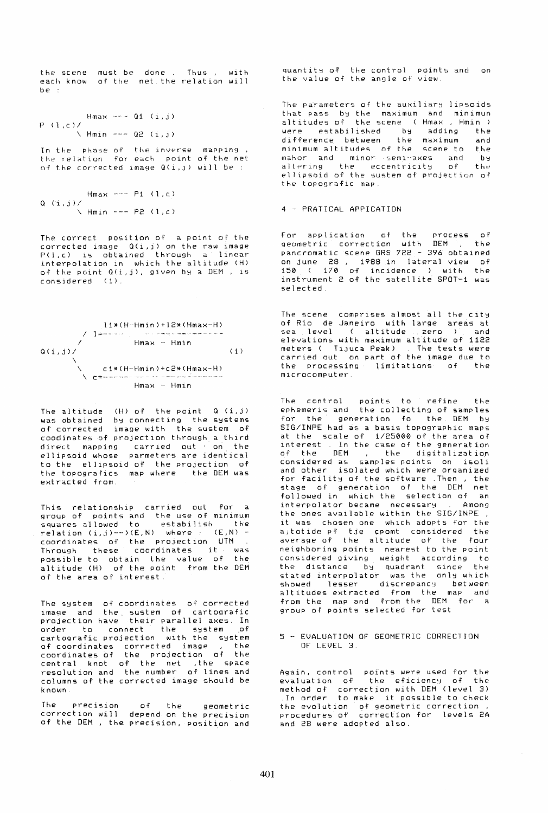the scene each know be : must be done . Thus , with<br>of the net the relation will net the relation will

```
Hmax --- 01 (i, j)
P (1, c)/1\sqrt{ Hmin --- Q2 (i,j)
```
In the phase of the inverse mapping, the relation. For each -point of the net<br>of the corrected image Q(i,j) will be :

```
Hmax --- P1 (1,c)
Q (i,j)/\ \ \ \ \ \text{Hmin} \ \text{---} \ \text{P2} \ \text{(1, c)}
```
The correct position of a point of the corrected image Q(i,j) on the raw image P(1,c) is obtained through a linear interpolation in which the altitude (H) of the point Q(i,j), given by a DEM, is considered (1).



The altitude  $(H)$  of the point  $Q(G, j)$ was obtained by connecting the systems of corrected image with the sustem of coodinates of projection through a third direct mapping carried out . on the ellipsoid whose parmeters are identical ellipsoid whose parmeters are identical<br>to the ellipsoid of the projection of the topografics map where the DEM was extracted from.

This relationship carried out for a group of points and the use of minimum spoor of points and the day of minimum relation (i,j)--)(E,N) where: (E,N) coordinates of the projection UTM Through these coordinates it was possible to obtain the value of the altitude (H) of the point from the DEM of the area of interest.

The system of coordinates of corrected image and the. sustem of cartografic projection have their paralle1 axes. In projection mave cheir parafiel dwest in cartografic projection with the system careds and progeetion work one is in coordinates of the projection of the central knot of the net ,the space resolutiori and the number of lines and columns of the corrected image should be known.

The precision of the geometric correction will depend on the precision of the DEM , the. precision, position and

quantity of the control points and on<br>the value of the angle of view. the value of the angle of view.

The parameters of the auxiliary lipsoids that pass by the maximum and minimun altitudes of the scene (Hmax, Hmin ) were estabilished by adding the difference between the maximum and minimum altitudes of the scene to the mahor and minor semi-axes and by:<br>altering the eccentricity of the ellipsoid of the sustem of projection of the topografic map.

4 PRATICAL APPICATION

For application of the process of geometric correction with DEM , the pancromatic scene GRS 722 - 396 obtained pancromatic scene ons fill to bootained<br>on june 28, 1988 in lateral view of 150 ( 170 of incidence ) with the instrument 2 of the satellite SPOT-1 was se1ected,

The scene comprises almost all the city of Rio de Janeiro with large areas at<br>sea level ( altitude zero ) and elevations with maximum altitude of 1122 enevations with maximum aftitude of file<br>meters ( Tijuca Peak) . The tests were carried out on part of the image due to the processing limitations of the  $microcomputer^-$ 

The control points to refine the ephemerls and the collecting of samples for the generation fo the DEM by SIG/INPE had as a basis topographic maps at the scale of *1/25000* of the area of interest In the case of the generation<br>of the DEM, the digitalization of the DEM , the digitalization considered as samples points on isoli and other isolated which were organized for facility of the software .Then, the stage of generation of the DEM net followed in which the selection of an interpolator became necessary . Among the ones available within the SIG/INPE , it was chosen one which adopts for the a; totide pf tje cpomt considered the average of the altitude of the four neighboring points nearest to the point considered giving weight according to the distance by quadrant since the stated interpolator was the only which stated interperator was one only when altitudes extracted from the map and altitudes extracted from the map and<br>from the map and from the DEM for a group of points selected for test

#### 5 - EVALUATION OF GEOMETRIC CORREC1ION OF LEVEL 3.

Again. control points were used for the evaluation of the eficiency of the method or correction with DEM (level 3) .In order to make it possible to check the evolution of geometric correction. procedures of correction for levels 2A and 2B were adopted also.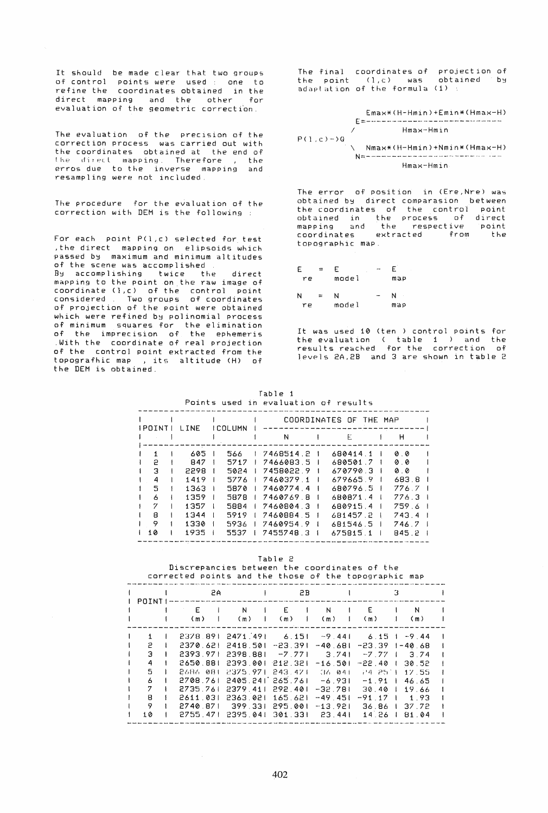It should be made clear that two groups of control points were used : one to refine the coordinates obtained in the direct mapping and the other for evaluation of the geometric correction.

The evaluation of the precision of the correction process was carried out with the coordinates obtained at the end of<br>the direct mapping. Therefore , the erros due to the inverse mapping and resampling were not included.

The procedure for the evaluation of the correction with DEM is the following

For each point P(1,c) selected for test ,the direct mapping on elipsoids which passed by maximum and minimum altitudes of the scene was accomplished By accomplishing twice the direct mapping to the point on.the raw image of coordinate (l,c) of the control point considered Two groups of coordinates of projection of the point were 06tained which were refined by polinomial process of minimum squares for the elimination of the imprecision of the ephemeris of the imprecision of the ephemeris<br>With the coordinate of real projection of the control point extracted from the topografhic map , its altitude (H) of the DEM is obtained.

The final coordinates of projection of the point  $(1,c)$  was obtained by adaptation of the formula (1)

Emax\*(H-Hmin)+Emin\*(Hmax-H) E=:------· .. ------· -.-------- --- ....... -.--- / Hmax-Hmin  $P(1, c) - Y$ Q \ Nmax\*(H-Hmin)+Nmin\*(Hmax-H)  $N=$   $\sim$ Hmax-Hmin

The error of position in (Ere, Nre) was obtained by direct comparasion between the coordinates of the control point<br>obtained in the process of direct obtained in the process of direct mapping and the respective point mapping and the respective point<br>coordinates extracted from the topographic map

| E<br>re | ÷        | E<br>٠<br>model |              | E<br>map |
|---------|----------|-----------------|--------------|----------|
| N       | $\equiv$ | N               | <b>START</b> | N        |

re model map

It was used 10 (ten ) control points for the evaluation ( table 1 ) and the results reached for the correction of levels 2A,2B and 3 are shown in table 2

|  | Table 1                              |  |
|--|--------------------------------------|--|
|  | Points used in evaluation of results |  |

|                                      |                                                                    |                                                                     |    | POINTS USED IN EVAIUATION OF PESUITS                                                                                  |                                                                                                          |                                                                       |  |
|--------------------------------------|--------------------------------------------------------------------|---------------------------------------------------------------------|----|-----------------------------------------------------------------------------------------------------------------------|----------------------------------------------------------------------------------------------------------|-----------------------------------------------------------------------|--|
| <b>IPOINTI</b>                       | L. INE                                                             | <b>ICOLUMN</b>                                                      |    | N                                                                                                                     | COORDINATES OF THE MAP<br>E                                                                              | н                                                                     |  |
| 2<br>з<br>4<br>5<br>А<br>7<br>8<br>9 | 605<br>847<br>2298<br>1419<br>1363<br>1359<br>1357<br>1344<br>1330 | 566<br>5717<br>5024<br>5776<br>5870<br>5878<br>5884<br>5919<br>5936 | -1 | 1 7468514.2 1<br>7466083.5<br>7458022.9<br>7460379.1<br>7460774.4<br>7460769.8<br>7460804.3<br>7460884.5<br>7460954.9 | 680414.1<br>680501.7<br>670790.3<br>679665.9<br>680796.5<br>680871.4<br>680915.4<br>681457.2<br>681546.5 | øø.<br>00<br>00<br>683.8<br>776.7<br>776.3<br>759 6<br>743.4<br>746.7 |  |
| 10                                   | 1935                                                               | 5537                                                                |    | 7455748.3 1                                                                                                           | 675815 1                                                                                                 | 845.2                                                                 |  |

Tab1e 2 Discrepancies between the coordinates of the corrected points and the those of the topographic map

| POINT I |  | 2A       |                           | 2B       | З         |                |                |          |  |
|---------|--|----------|---------------------------|----------|-----------|----------------|----------------|----------|--|
|         |  | E<br>(m) | N<br>(m)                  | E<br>(m) | N<br>(m)  | E<br>(m)       |                | N<br>(m) |  |
|         |  |          | 2378 891 2471 491         | 6.151    | $-9.44$   | $6.15 + -9.44$ |                |          |  |
| 2       |  |          | 2370.621 2418.501         | -23.391  | $-40.681$ | -23.39         |                | 1-40.68  |  |
| з       |  | 2393 971 | 2398.881                  | $-7.771$ | 3.741     | $-7,77$        | $\mathbf{1}$   | 374      |  |
| 4       |  | 2650.881 | 2393.001.212.321          |          | $-16.501$ | $-22.40$ 1     |                | 30.52    |  |
| 5       |  | 2686-081 | - 2375.971.243.471        |          | 36 041    | 74 25 1        |                | 17.55    |  |
| 6       |  |          | 2708.761 2405.241 265.761 |          | -6.931    | $-1.91$        |                | 46.65    |  |
| 7       |  | 2735.761 | 2379.411                  | 292.401  | $-32.781$ | 30.40          | $\mathbf{1}$   | 19.66    |  |
| 8       |  | 2611 031 | 2363.021                  | 165 621  | $-49.451$ | -91.17         | $\overline{1}$ | -1.93    |  |
| 9       |  | 2740.871 | - 399.331                 | 295.001  | $-13.921$ | 36.86          |                | 37.72    |  |
| 10      |  | 2755.471 | 2395.041                  | 301.331  | 23 441    | 14 26          |                | 81 04    |  |
|         |  |          |                           |          |           |                |                |          |  |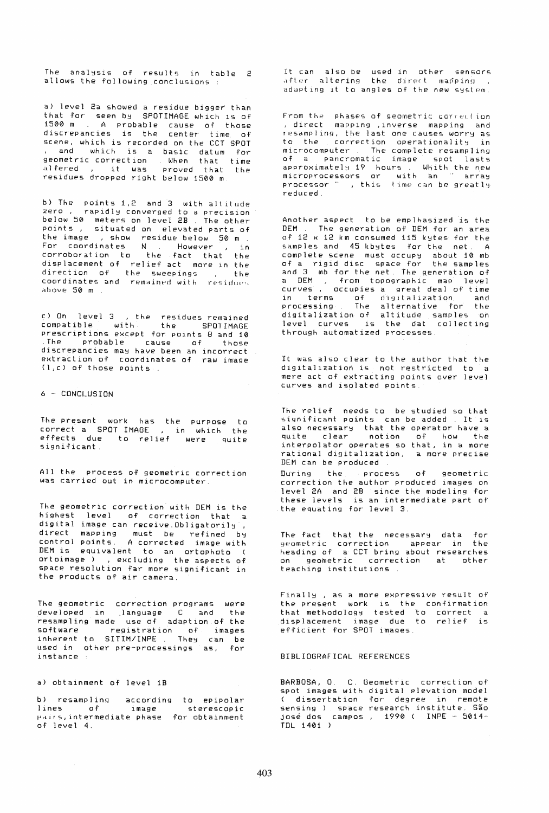The analysis of results in table  $2$ allows the following conclusions

a) level 2a showed a residue bigger than that for seen by SPOTIMAGE which is of 1500 m A probable cause of those discrepancies is the center time of scene, which is recorded on the CCT SPOT and which is a basic datum for geometric correction . When that time<br>alfered , it was proved that the residues dropped right below 1500 m

b) The points 1,2 and 3 with altitude rapidly converged to a precision below 50 meters on level 2B . The other points, situated on elevated parts of the image , show residue below 50 m For coordinates N . However , in corroboration to the fact that the displacement of relief act more 1n the direction of the sweepings , the coordinates and remained with residues above 50 m .

c) On level 3 ,the residues remained compatible with the SP01IMAGE prescriptions except for pOlnts 8 and 10 .The probable cause of those discrepancies may have been an incorrect extraction of coordinates of raw image (l,c) of those points.

6 - CONCLUSION

The present work has the purpose to correct a SPOT-IMAGE , in which the<br>effects due to relief were quite<br>significant

All the process of geometric correction was carried out in microcomputer.

The geometric correction with DEM is the highest level of correction that a digital image can receive.Obligatorily , direct mapping must be refined by contr01 points. A corrected image with DEM is eqUivalent to an ortophoto ( ortoimage) ,excluding the aspects of space resolution far more significant in the products of air camera.

The geometric correction programs were developed in .language C and the resampling made use of adaption of the software registration of images inherent to SITIM/INPE. They can be used in other pre-processings as, for instance

### a) obtainment of level 1B

b) resampling lines of image  $_{\rm pairs,intermediate\ phase}$ of level 4. according to epipolar sterescopic for obtainment

It can also be used in other sensors  $\arctan$  altering the direct mapping adapting it to angles of the new system.

From the -phases of geometric correction<br>, direct -mapping ,inverse -mapping -and resampling, the last one causes worry as<br>to the correction operationality in to the correction operationality microcomputer The complete resampling of a pancromatic image spot lasts approximately 19 hours. Whith the new microprocessors or with an " array<br>processor " , this time-can-be-greatly reduced.

Another aspect to be emplhasized is the DEM The generation of DEM for an area of  $12 \times 12$  km consumed  $115$  kytes for the samples and 45 kbytes for the net. A complete scene must QCCUP~ about 10 mb of a rigid disc space for the samples and 3 mb for the net. The generation of<br>a DEM , from topographic map level curves, occupies a great deal of time in terms of digitalization, and<br>processing The alternative for the digitalization of altitude samples on level curves is the dat collecting through automatized processes.

It was also clear to the author that the digitalization is not restricted to a mere act of extracting points over level curves and isolated points

The relief needs to be studied so that significant points can be added . It is also necessary that the operator have a quite clear notion of how the interpolator operates so that, in a more rational digitalization, a more precise DEM can be produced DUring the process of geometric correction the author produced lmages on level 2A and 2B since the modeling for

these levels is an intermediate part of the equating for 1evel 3.

The fact that the necessary data for ypometric correction appear in the heading of a CCT bring about researches<br>on geometric correction at other on geometric correction at other<br>teaching\_institutions

Finally, as a more expressive result of the present work is the confirmation that methodology tested to correct a displacement image due to relief is efficient for SPOT images.

#### BIBLIOGRAFICAL REFERENCES

BARBOSA, 0 C. Geometric correction of spot images with digital elevation model ( dissertation for degree in remote sensing ) space research institute. São josé dos campos , 1990 ( INPE - 5014 -TDL 1401 )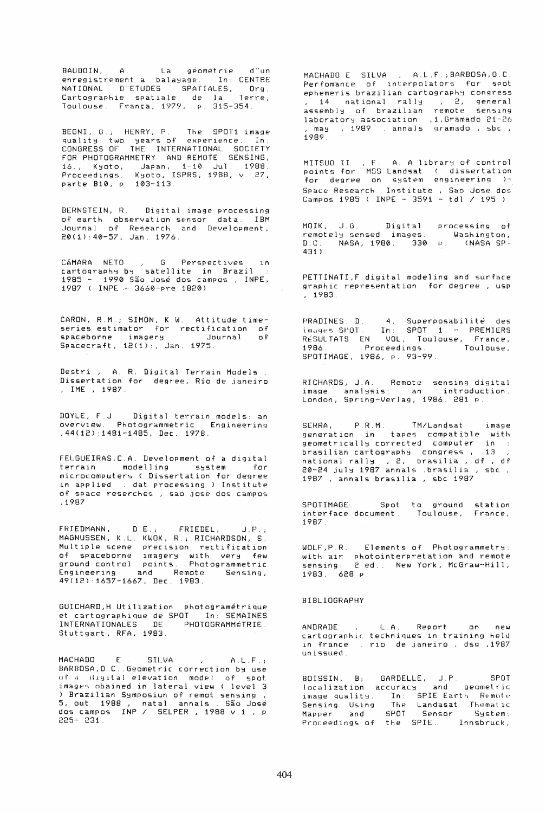La géométrie  $-d$  Tun BAUDOIN, A. enregistrement a balayage. In: CENTRE NATIONAL D"ETUDES SPATIALES, Org.<br>Cartographie spatiale de la Terre,<br>Toulouse França, 1979, p. 315-354.

BEGNI, G.; HENRY, P. The SPOT1 image<br>quality: two years of experience. In:<br>CONGRESS OF THE INTERNATIONAL SOCIETY<br>FOR PHOTOGRAMMETRY AND REMOTE SENSING, 16., Kyoto, Japan, 1-10 Jul. 1988.<br>Proceedings. Kyoto, ISPRS, 1988, v. 27,<br>parte B10, p. 103-113.

BERNSTEIN, R. Digital image processing of earth observation sensor data. IBM Journal of Research and Development,<br>20(1):40-57, Jan. 1976.

G Perspectives CÂMARA NETO , G Perspectives in<br>cartography-by satellite in Brazil :<br>1985 – 1990-São José-dos-campos , INPE, CAMARA NETO 1987 ( INPE - 3660-pre 1820)

CARON, R.M.; SIMON, K.W. Attitude timeseries estimator for rectification of<br>spaceborne imagery. Journal of<br>Spacecraft, 12(1):, Jan. 1975.

Destri, A. R. Digital Terrain Models. Dissertation for degree, Rio de janeiro , IME , 1987.

DOYLE, F.J. Digital terrain models: an<br>overview. Photogrammetric Engineering , 44(12): 1481-1485, Dec. 1978.

FELGUEIRAS, C.A. Development of a digital terrain modelling system for<br>microcomputers ( Dissertation for degree in applied . dat processing ) Institute of space reserches, sao jose dos campos ,1987

FRIEDMANN, D.E., FRIEDEL, J.P.;<br>MAGNUSSEN, K.L. KWOK, R.; RICHARDSON, S. Multiple scene precision rectification<br>of spaceborne imagery with very few<br>ground control points. Photogrammetric<br>Engineering and Remote. Sensing, 49(12):1657-1667, Dec. 1983.

GUICHARD, H. Utilization photogramétrique et cartographique de SPOT. In: SEMAINES<br>INTERNATIONALES DE PHOTOGRAMMÉTRIE. PHOTOGRAMMÉTRIE Stuttgart, RFA, 1983.

MACHARD  $E_{\rm{1}}$ SILVA  $A.L.F.j$ BARBOSA, O.C. Geometric correction by use of a digital elevation model of spot<br>images obained in lateral view (level 3 A Brazilian Symposium of remot sensing<br>5, out 1988, natal annals São José<br>dos campos INP / SELPER, 1988 v.1, p<br>225-231.

MACHADO E SILVA , A.L.F.; BARBOSA, O.C. Perfomance of interpolators for spot ephemeris brazilian cartography congress , 14 national rally , 2, general<br>assembly of brazilian remote sensing laboratory association ,1,Gramado 21-26<br>, may , 1989 . annals gramado , sbc ,  $1989.$ 

MITSUO II , F. A. A library of control<br>points for MSS Landsat ( dissertation<br>for degree on system engineering ) Space Research Institute, Sao Jose dos Campos 1985 ( INPE - 3591 - tdl / 195 )

MOIK, J.G. Digital processing of<br>remotely-sensed images. Washington,<br>D.C. NASA, 1980. 330 p. (NASA-SP-431).

PETTINATI, F digital modeling and surface graphic representation for degree, usp  $, 1983.$ 

PRADINES D. 4. Superposabilité des<br>images SPOT. In: SPOT 1 - PREMIERS<br>RéSULTATS EN VOL, Toulouse, France, 1986. Proceedings. Toulouse, SPOTIMAGE, 1986, p. 93-99.

RICHARDS, J.A. Remote sensing digital<br>image analysis: an introduction. London, Spring-Verlag, 1986. 281 p.

SERRA, P.R.M. TM/Landsat image<br>generation in tapes compatible with<br>geometrically corrected computer in brasilian cartography congress, 13,<br>national rally, 2, brasilia, df, df<br>20-24 july 1987 annals brasilia, sbc,<br>1987, annals brasilia, sbc, 1987

SPOTIMAGE Spot to ground station<br>interface document Toulouse, France,  $1987$ 

WOLF, P.R. Elements of Photogrammetry:<br>with air photointerpretation and remote<br>sensing. 2 ed.. New York, McGraw-Hill, 1983. 628 р.

# **BIBLIOGRAPHY**

ANDRADE L.A. Report  $\cap$   $\cap$ new cartographic techniques in training held in france . rio de janeiro, dsg , 1987 unissued.

BOISSIN, B; GARDELLE, J.P. SPOT<br>localization accuracy and geometric image quality. In: SPIE Earth Remote Sensing Using The Landasat Thematic<br>Mapper and SPOT Sensor System: Proceedings of the SPIE. Innsbruck,